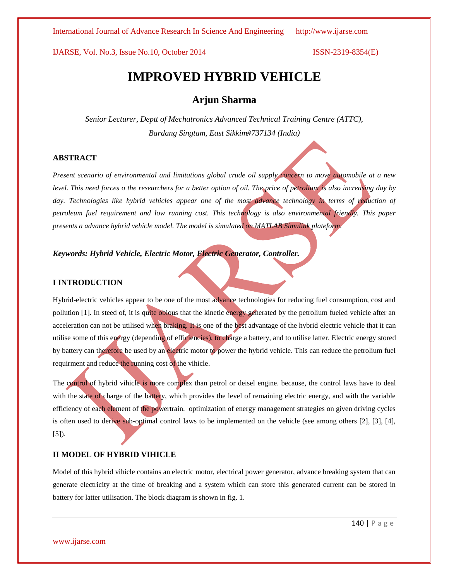International Journal of Advance Research In Science And Engineering http://www.ijarse.com

IJARSE, Vol. No.3, Issue No.10, October 2014 ISSN-2319-8354(E)

# **IMPROVED HYBRID VEHICLE**

# **Arjun Sharma**

*Senior Lecturer, Deptt of Mechatronics Advanced Technical Training Centre (ATTC), Bardang Singtam, East Sikkim#737134 (India)*

### **ABSTRACT**

*Present scenario of environmental and limitations global crude oil supply concern to move automobile at a new level. This need forces o the researchers for a better option of oil. The price of petrolium is also increasing day by*  day. Technologies like hybrid vehicles appear one of the most advance technology in terms of reduction of *petroleum fuel requirement and low running cost. This technology is also environmental friendly. This paper presents a advance hybrid vehicle model. The model is simulated on MATLAB Simulink plateform.*

# *Keywords: Hybrid Vehicle, Electric Motor, Electric Generator, Controller.*

### **I INTRODUCTION**

Hybrid-electric vehicles appear to be one of the most advance technologies for reducing fuel consumption, cost and pollution [1]. In steed of, it is quite obious that the kinetic energy generated by the petrolium fueled vehicle after an acceleration can not be utilised when braking. It is one of the best advantage of the hybrid electric vehicle that it can utilise some of this energy (depending of efficiencies), to charge a battery, and to utilise latter. Electric energy stored by battery can therefore be used by an electric motor to power the hybrid vehicle. This can reduce the petrolium fuel requirment and reduce the running cost of the vihicle.

The control of hybrid vihicle is more complex than petrol or deisel engine. because, the control laws have to deal with the state of charge of the battery, which provides the level of remaining electric energy, and with the variable efficiency of each element of the powertrain. optimization of energy management strategies on given driving cycles is often used to derive sub-optimal control laws to be implemented on the vehicle (see among others [2], [3], [4], [5]).

### **II MODEL OF HYBRID VIHICLE**

Model of this hybrid vihicle contains an electric motor, electrical power generator, advance breaking system that can generate electricity at the time of breaking and a system which can store this generated current can be stored in battery for latter utilisation. The block diagram is shown in fig. 1.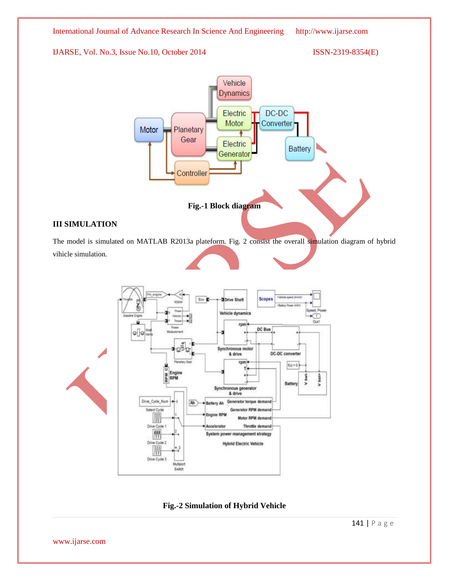

# **III SIMULATION**

The model is simulated on MATLAB R2013a plateform. Fig. 2 consist the overall simulation diagram of hybrid vihicle simulation.



**Fig.-2 Simulation of Hybrid Vehicle**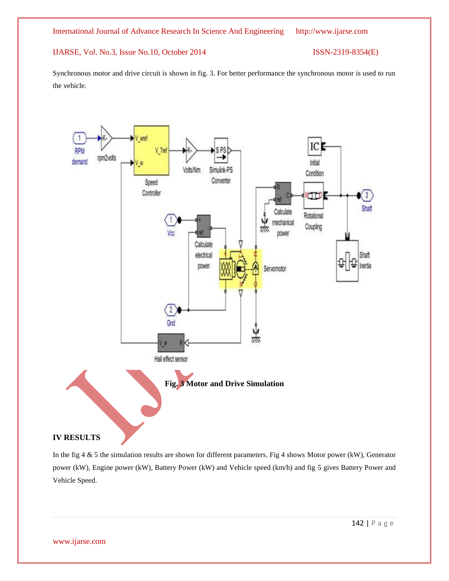Synchronous motor and drive circuit is shown in fig. 3. For better performance the synchronous motor is used to run the vehicle.



In the fig 4 & 5 the simulation results are shown for different parameters. Fig 4 shows Motor power (kW), Generator power (kW), Engine power (kW), Battery Power (kW) and Vehicle speed (km/h) and fig 5 gives Battery Power and Vehicle Speed.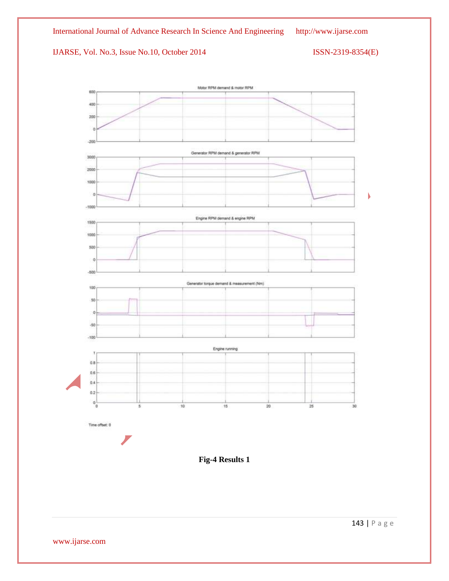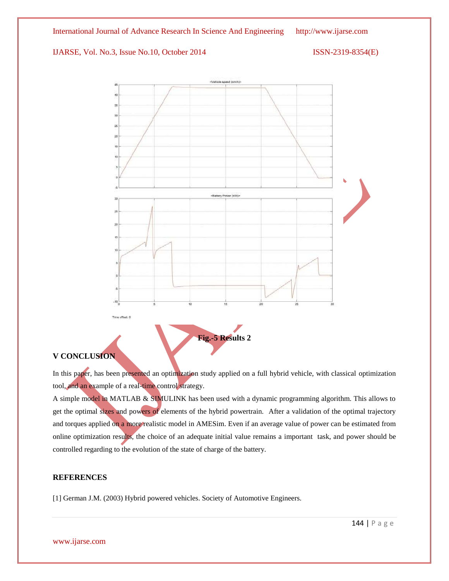

# **V CONCLUSION**

In this paper, has been presented an optimization study applied on a full hybrid vehicle, with classical optimization tool, and an example of a real-time control strategy.

A simple model in MATLAB & SIMULINK has been used with a dynamic programming algorithm. This allows to get the optimal sizes and powers of elements of the hybrid powertrain. After a validation of the optimal trajectory and torques applied on a more realistic model in AMESim. Even if an average value of power can be estimated from online optimization results, the choice of an adequate initial value remains a important task, and power should be controlled regarding to the evolution of the state of charge of the battery.

# **REFERENCES**

[1] German J.M. (2003) Hybrid powered vehicles. Society of Automotive Engineers.